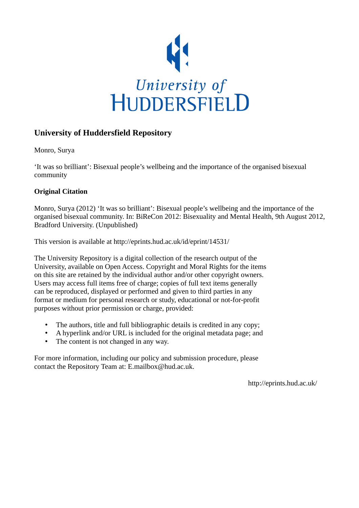

#### **University of Huddersfield Repository**

Monro, Surya

'It was so brilliant': Bisexual people's wellbeing and the importance of the organised bisexual community

#### **Original Citation**

Monro, Surya (2012) 'It was so brilliant': Bisexual people's wellbeing and the importance of the organised bisexual community. In: BiReCon 2012: Bisexuality and Mental Health, 9th August 2012, Bradford University. (Unpublished)

This version is available at http://eprints.hud.ac.uk/id/eprint/14531/

The University Repository is a digital collection of the research output of the University, available on Open Access. Copyright and Moral Rights for the items on this site are retained by the individual author and/or other copyright owners. Users may access full items free of charge; copies of full text items generally can be reproduced, displayed or performed and given to third parties in any format or medium for personal research or study, educational or not-for-profit purposes without prior permission or charge, provided:

- The authors, title and full bibliographic details is credited in any copy;
- A hyperlink and/or URL is included for the original metadata page; and
- The content is not changed in any way.

For more information, including our policy and submission procedure, please contact the Repository Team at: E.mailbox@hud.ac.uk.

http://eprints.hud.ac.uk/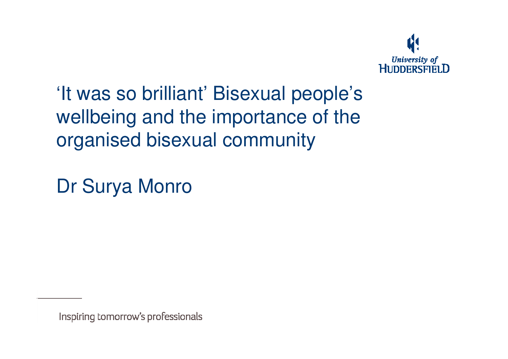

'It was so brilliant' Bisexual people's wellbeing and the importance of the organised bisexual community

Dr Surya Monro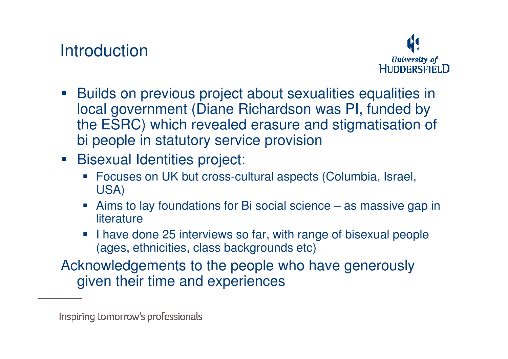# **Introduction**



- **Builds on previous project about sexualities equalities in**  local government (Diane Richardson was PI, funded by the ESRC) which revealed erasure and stigmatisation of bi people in statutory service provision
- **Bisexual Identities project:** 
	- Focuses on UK but cross-cultural aspects (Columbia, Israel, USA)
	- Aims to lay foundations for Bi social science as massive gap in **literature**
	- I have done 25 interviews so far, with range of bisexual people  $\overline{\phantom{a}}$ (ages, ethnicities, class backgrounds etc)

Acknowledgements to the people who have generously given their time and experiences

Inspiring tomorrow's professionals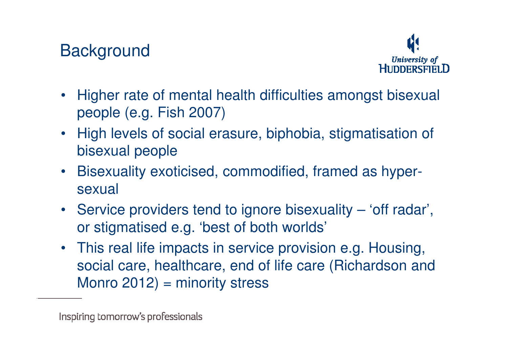# **Background**



- Higher rate of mental health difficulties amongst bisexual people (e.g. Fish 2007)
- High levels of social erasure, biphobia, stigmatisation of bisexual people
- Bisexuality exoticised, commodified, framed as hyper sexual
- Service providers tend to ignore bisexuality 'off radar', or stigmatised e.g. 'best of both worlds'
- This real life impacts in service provision e.g. Housing, social care, healthcare, end of life care (Richardson and Monro 2012) = minority stress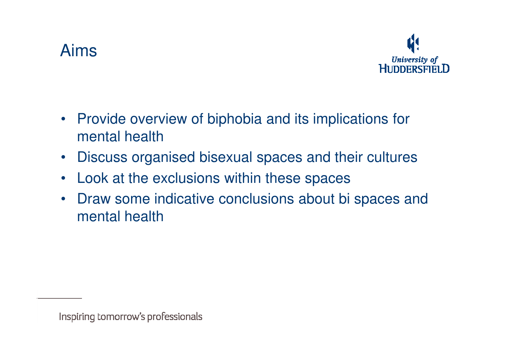#### Aims



- Provide overview of biphobia and its implications for mental health
- Discuss organised bisexual spaces and their cultures
- Look at the exclusions within these spaces
- Draw some indicative conclusions about bi spaces and mental health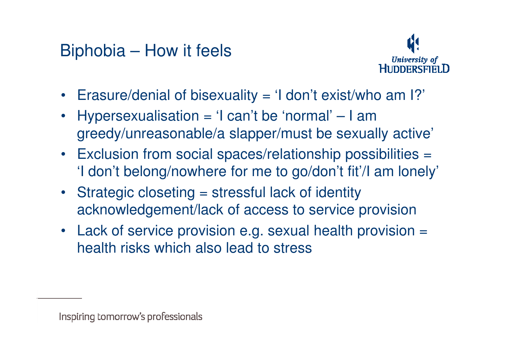# Biphobia – How it feels



- Erasure/denial of bisexuality = 'I don't exist/who am I?'
- Hypersexualisation = 'I can't be 'normal' I am greedy/unreasonable/a slapper/must be sexually active'
- Exclusion from social spaces/relationship possibilities = 'I don't belong/nowhere for me to go/don't fit'/I am lonely'
- Strategic closeting = stressful lack of identity acknowledgement/lack of access to service provision
- Lack of service provision e.g. sexual health provision = health risks which also lead to stress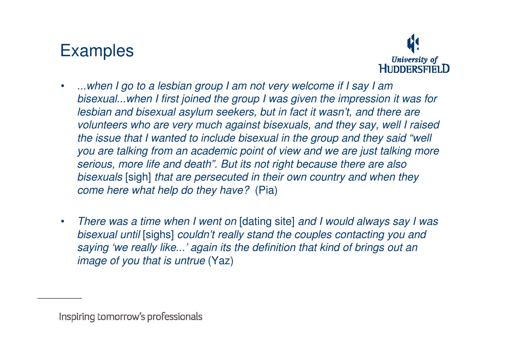# Examples



- • ...when I go to a lesbian group I am not very welcome if I say I am bisexual...when I first joined the group I was given the impression it was for lesbian and bisexual asylum seekers, but in fact it wasn't, and there are volunteers who are very much against bisexuals, and they say, well I raised the issue that I wanted to include bisexual in the group and they said "well you are talking from an academic point of view and we are just talking more serious, more life and death". But its not right because there are also bisexuals [sigh] that are persecuted in their own country and when they come here what help do they have? (Pia)
- $\bullet$  There was a time when I went on [dating site] and I would always say I was bisexual until [sighs] couldn't really stand the couples contacting you and saying 'we really like...' again its the definition that kind of brings out an image of you that is untrue (Yaz)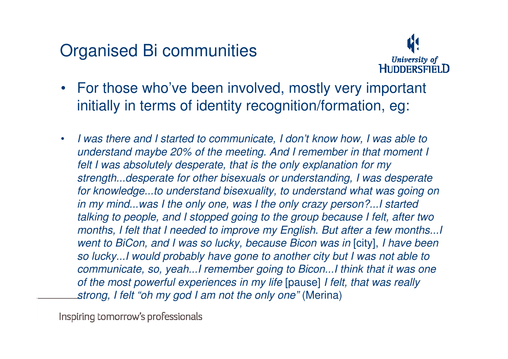# Organised Bi communities



- For those who've been involved, mostly very important initially in terms of identity recognition/formation, eg:
- • I was there and I started to communicate, I don't know how, I was able to understand maybe 20% of the meeting. And I remember in that moment I felt I was absolutely desperate, that is the only explanation for my strength...desperate for other bisexuals or understanding, I was desperate for knowledge...to understand bisexuality, to understand what was going on in my mind...was I the only one, was I the only crazy person?...I started talking to people, and I stopped going to the group because I felt, after two months, I felt that I needed to improve my English. But after a few months...I went to BiCon, and I was so lucky, because Bicon was in [city], I have been so lucky...I would probably have gone to another city but I was not able to communicate, so, yeah...I remember going to Bicon...I think that it was one of the most powerful experiences in my life [pause] I felt, that was really strong, I felt "oh my god I am not the only one" (Merina)

Inspiring tomorrow's professionals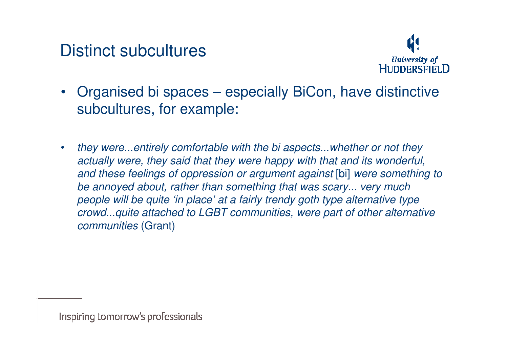Distinct subcultures



- Organised bi spaces especially BiCon, have distinctive subcultures, for example:
- • they were...entirely comfortable with the bi aspects...whether or not they actually were, they said that they were happy with that and its wonderful, and these feelings of oppression or argument against [bi] were something to be annoyed about, rather than something that was scary... very much people will be quite 'in place' at a fairly trendy goth type alternative type crowd...quite attached to LGBT communities, were part of other alternative communities (Grant)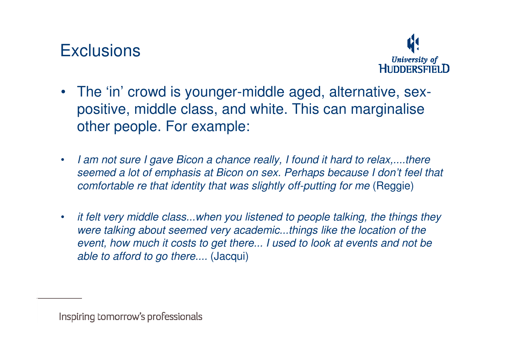# **Exclusions**



- The 'in' crowd is younger-middle aged, alternative, sexpositive, middle class, and white. This can marginalise other people. For example:
- • I am not sure I gave Bicon a chance really, I found it hard to relax,....there seemed a lot of emphasis at Bicon on sex. Perhaps because I don't feel that comfortable re that identity that was slightly off-putting for me (Reggie)
- • it felt very middle class...when you listened to people talking, the things they were talking about seemed very academic...things like the location of the event, how much it costs to get there... I used to look at events and not be able to afford to go there.... (Jacqui)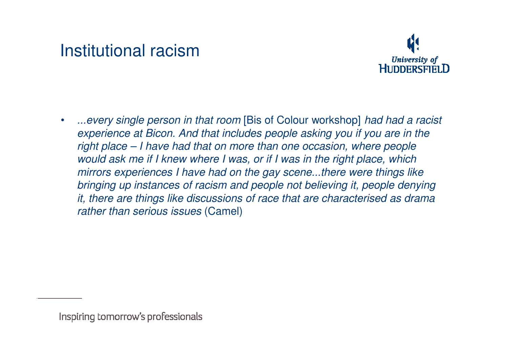## Institutional racism



• ...every single person in that room [Bis of Colour workshop] had had a racist experience at Bicon. And that includes people asking you if you are in the right place – I have had that on more than one occasion, where people would ask me if I knew where I was, or if I was in the right place, which mirrors experiences I have had on the gay scene...there were things like bringing up instances of racism and people not believing it, people denying it, there are things like discussions of race that are characterised as drama rather than serious issues (Camel)